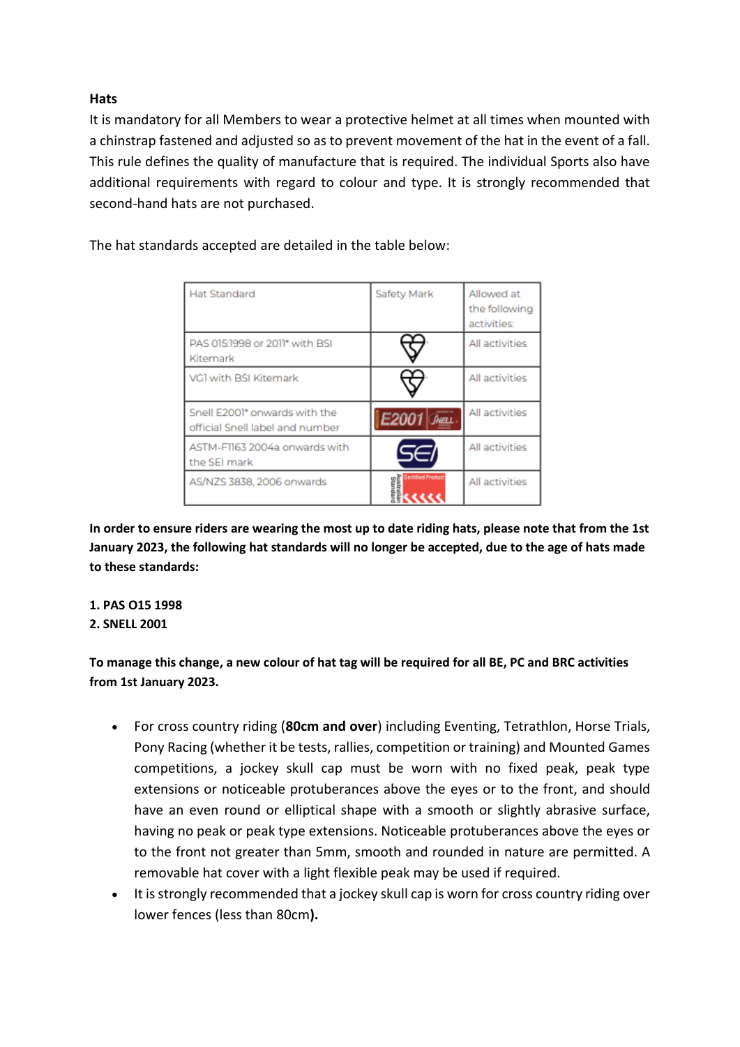## **Hats**

It is mandatory for all Members to wear a protective helmet at all times when mounted with a chinstrap fastened and adjusted so as to prevent movement of the hat in the event of a fall. This rule defines the quality of manufacture that is required. The individual Sports also have additional requirements with regard to colour and type. It is strongly recommended that second-hand hats are not purchased.

The hat standards accepted are detailed in the table below:

| <b>Hat Standard</b>                                              | Safety Mark          | Allowed at<br>the following<br>activities: |
|------------------------------------------------------------------|----------------------|--------------------------------------------|
| PAS 015:1998 or 2011* with BSI<br>Kitemark                       |                      | All activities                             |
| VG1 with BSI Kitemark                                            |                      | All activities                             |
| Snell E2001* onwards with the<br>official Snell label and number | E2001 Jieu           | All activities                             |
| ASTM-F1163 2004a onwards with<br>the SEI mark                    | 1561                 | All activities                             |
| AS/NZS 3838, 2006 onwards                                        | <b>Iffied Produc</b> | All activities                             |

**In order to ensure riders are wearing the most up to date riding hats, please note that from the 1st January 2023, the following hat standards will no longer be accepted, due to the age of hats made to these standards:** 

## **1. PAS O15 1998**

## **2. SNELL 2001**

**To manage this change, a new colour of hat tag will be required for all BE, PC and BRC activities from 1st January 2023.**

- For cross country riding (**80cm and over**) including Eventing, Tetrathlon, Horse Trials, Pony Racing (whether it be tests, rallies, competition or training) and Mounted Games competitions, a jockey skull cap must be worn with no fixed peak, peak type extensions or noticeable protuberances above the eyes or to the front, and should have an even round or elliptical shape with a smooth or slightly abrasive surface, having no peak or peak type extensions. Noticeable protuberances above the eyes or to the front not greater than 5mm, smooth and rounded in nature are permitted. A removable hat cover with a light flexible peak may be used if required.
- It is strongly recommended that a jockey skull cap is worn for cross country riding over lower fences (less than 80cm**).**